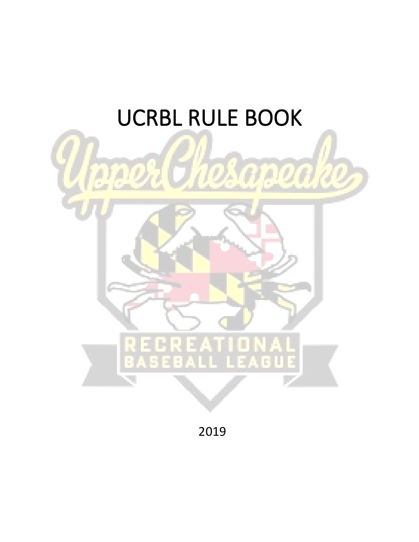# **UCRBL RULE BOOK**



2019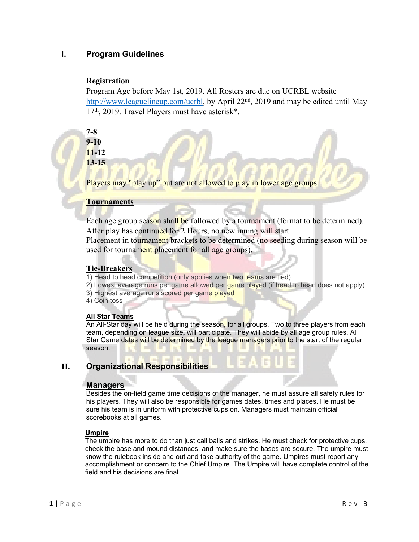# **I. Program Guidelines**

# **Registration**

Program Age before May 1st, 2019. All Rosters are due on UCRBL website [http://www.leaguelineup.com/ucrbl,](http://www.leaguelineup.com/ucrbl) by April 22<sup>nd</sup>, 2019 and may be edited until May 17th, 2019. Travel Players must have asterisk\*.

**7-8 9-10 11-12 13-15**

Players may "play up" but are not allowed to play in lower age groups.

# **Tournaments**

Each age group season shall be followed by a tournament (format to be determined). After play has continued for 2 Hours, no new inning will start.

Placement in tournament brackets to be determined (no seeding during season will be used for tournament placement for all age groups).

# **Tie-Breakers**

1) Head to head competition (only applies when two teams are tied)

- 2) Lowest average runs per game allowed per game played (if head to head does not apply)
- 3) Highest average runs scored per game played

4) Coin toss

## **All Star Teams**

An All-Star day will be held during the season, for all groups. Two to three players from each team, depending on league size, will participate. They will abide by all age group rules. All Star Game dates will be determined by the league managers prior to the start of the regular season.

# **II. Organizational Responsibilities**

# **Managers**

Besides the on-field game time decisions of the manager, he must assure all safety rules for his players. They will also be responsible for games dates, times and places. He must be sure his team is in uniform with protective cups on. Managers must maintain official scorebooks at all games.

## **Umpire**

The umpire has more to do than just call balls and strikes. He must check for protective cups, check the base and mound distances, and make sure the bases are secure. The umpire must know the rulebook inside and out and take authority of the game. Umpires must report any accomplishment or concern to the Chief Umpire. The Umpire will have complete control of the field and his decisions are final.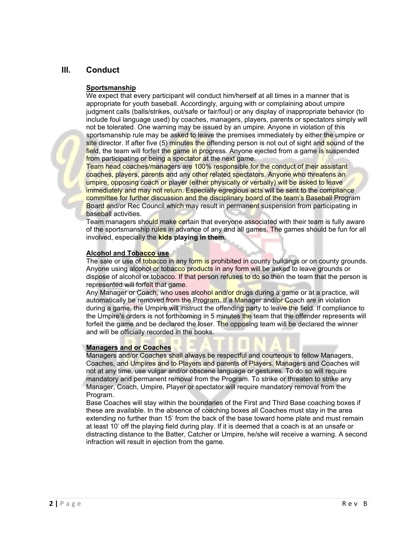# **III. Conduct**

#### **Sportsmanship**

We expect that every participant will conduct him/herself at all times in a manner that is appropriate for youth baseball. Accordingly, arguing with or complaining about umpire judgment calls (balls/strikes, out/safe or fair/foul) or any display of inappropriate behavior (to include foul language used) by coaches, managers, players, parents or spectators simply will not be tolerated. One warning may be issued by an umpire. Anyone in violation of this sportsmanship rule may be asked to leave the premises immediately by either the umpire or site director. If after five (5) minutes the offending person is not out of sight and sound of the field, the team will forfeit the game in progress. Anyone ejected from a game is suspended from participating or being a spectator at the next game.

Team head coaches/managers are 100% responsible for the conduct of their assistant coaches, players, parents and any other related spectators. Anyone who threatens an umpire, opposing coach or player (either physically or verbally) will be asked to leave immediately and may not return. Especially egregious acts will be sent to the compliance committee for further discussion and the disciplinary board of the team's Baseball Program Board and/or Rec Council which may result in permanent suspension from participating in baseball activities.

Team managers should make certain that everyone associated with their team is fully aware of the sportsmanship rules in advance of any and all games. The games should be fun for all involved, especially the **kids playing in them.**

#### **Alcohol and Tobacco use**

The sale or use of tobacco in any form is prohibited in county buildings or on county grounds. Anyone using alcohol or tobacco products in any form will be asked to leave grounds or dispose of alcohol or tobacco. If that person refuses to do so then the team that the person is represented will forfeit that game.

Any Manager or Coach, who uses alcohol and/or drugs during a game or at a practice, will automatically be removed from the Program. If a Manager and/or Coach are in violation during a game, the Umpire will instruct the offending party to leave the field. If compliance to the Umpire's orders is not forthcoming in 5 minutes the team that the offender represents will forfeit the game and be declared the loser. The opposing team will be declared the winner and will be officially recorded in the books.

#### **Managers and or Coaches**

Managers and/or Coaches shall always be respectful and courteous to fellow Managers, Coaches, and Umpires and to Players and parents of Players. Managers and Coaches will not at any time, use vulgar and/or obscene language or gestures. To do so will require mandatory and permanent removal from the Program. To strike or threaten to strike any

Manager, Coach, Umpire, Player or spectator will require mandatory removal from the Program.

Base Coaches will stay within the boundaries of the First and Third Base coaching boxes if these are available. In the absence of coaching boxes all Coaches must stay in the area extending no further than 15' from the back of the base toward home plate and must remain at least 10' off the playing field during play. If it is deemed that a coach is at an unsafe or distracting distance to the Batter, Catcher or Umpire, he/she will receive a warning. A second infraction will result in ejection from the game.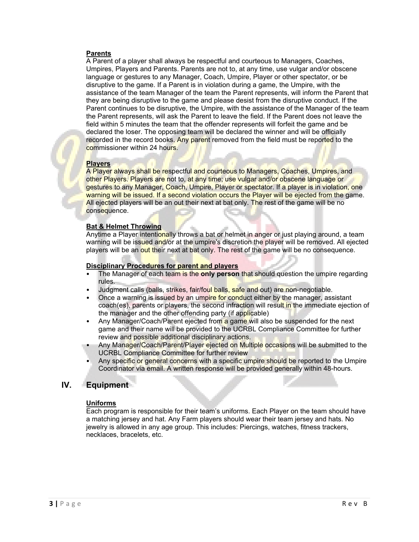#### **Parents**

A Parent of a player shall always be respectful and courteous to Managers, Coaches, Umpires, Players and Parents. Parents are not to, at any time, use vulgar and/or obscene language or gestures to any Manager, Coach, Umpire, Player or other spectator, or be disruptive to the game. If a Parent is in violation during a game, the Umpire, with the assistance of the team Manager of the team the Parent represents, will inform the Parent that they are being disruptive to the game and please desist from the disruptive conduct. If the Parent continues to be disruptive, the Umpire, with the assistance of the Manager of the team the Parent represents, will ask the Parent to leave the field. If the Parent does not leave the field within 5 minutes the team that the offender represents will forfeit the game and be declared the loser. The opposing team will be declared the winner and will be officially recorded in the record books. Any parent removed from the field must be reported to the commissioner within 24 hours.

#### **Players**

A Player always shall be respectful and courteous to Managers, Coaches, Umpires, and other Players. Players are not to, at any time; use vulgar and/or obscene language or gestures to any Manager, Coach, Umpire, Player or spectator. If a player is in violation, one warning will be issued. If a second violation occurs the Player will be ejected from the game. All ejected players will be an out their next at bat only. The rest of the game will be no consequence.

#### **Bat & Helmet Throwing**

Anytime a Player intentionally throws a bat or helmet in anger or just playing around, a team warning will be issued and/or at the umpire's discretion the player will be removed. All ejected players will be an out their next at bat only. The rest of the game will be no consequence.

#### **Disciplinary Procedures for parent and players**

- The Manager of each team is the **only person** that should question the umpire regarding rules.
- Judgment calls (balls, strikes, fair/foul balls, safe and out) are non-negotiable.
- Once a warning is issued by an umpire for conduct either by the manager, assistant coach(es), parents or players, the second infraction will result in the immediate ejection of the manager and the other offending party (if applicable)
- Any Manager/Coach/Parent ejected from a game will also be suspended for the next game and their name will be provided to the UCRBL Compliance Committee for further review and possible additional disciplinary actions.
- Any Manager/Coach/Parent/Player ejected on Multiple occasions will be submitted to the UCRBL Compliance Committee for further review
- Any specific or general concerns with a specific umpire should be reported to the Umpire Coordinator via email. A written response will be provided generally within 48-hours.

## **IV. Equipment**

#### **Uniforms**

Each program is responsible for their team's uniforms. Each Player on the team should have a matching jersey and hat. Any Farm players should wear their team jersey and hats. No jewelry is allowed in any age group. This includes: Piercings, watches, fitness trackers, necklaces, bracelets, etc.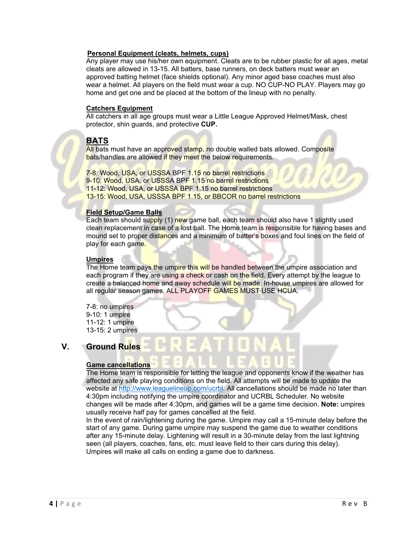#### **Personal Equipment (cleats, helmets, cups)**

Any player may use his/her own equipment. Cleats are to be rubber plastic for all ages, metal cleats are allowed in 13-15. All batters, base runners, on deck batters must wear an approved batting helmet (face shields optional). Any minor aged base coaches must also wear a helmet. All players on the field must wear a cup. NO CUP-NO PLAY. Players may go home and get one and be placed at the bottom of the lineup with no penalty.

#### **Catchers Equipment**

All catchers in all age groups must wear a Little League Approved Helmet/Mask, chest protector, shin guards, and protective **CUP.**

# **BATS**

All bats must have an approved stamp, no double walled bats allowed. Composite bats/handles are allowed if they meet the below requirements.

7-8: Wood, USA, or USSSA BPF 1.15 no barrel restrictions 9-10: Wood, USA, or USSSA BPF 1.15 no barrel restrictions 11-12: Wood, USA, or USSSA BPF 1.15 no barrel restrictions 13-15: Wood, USA, USSSA BPF 1.15, or BBCOR no barrel restrictions

#### **Field Setup/Game Balls**

Each team should supply (1) new game ball, each team should also have 1 slightly used clean replacement in case of a lost ball. The Home team is responsible for having bases and mound set to proper distances and a minimum of batter's boxes and foul lines on the field of play for each game.

#### **Umpires**

The Home team pays the umpire this will be handled between the umpire association and each program if they are using a check or cash on the field. Every attempt by the league to create a balanced home and away schedule will be made. In-house umpires are allowed for all regular season games. ALL PLAYOFF GAMES MUST USE HCUA.

7-8: no umpires 9-10: 1 umpire 11-12: 1 umpire 13-15: 2 umpires

# **V. Ground Rules**

#### **Game cancellations**

The Home team is responsible for letting the league and opponents know if the weather has affected any safe playing conditions on the field. All attempts will be made to update the website at <http://www.leaguelineup.com/ucrbl>. All cancellations should be made no later than 4:30pm including notifying the umpire coordinator and UCRBL Scheduler. No website changes will be made after 4:30pm, and games will be a game time decision. **Note:** umpires usually receive half pay for games cancelled at the field.

In the event of rain/lightening during the game. Umpire may call a 15-minute delay before the start of any game. During game umpire may suspend the game due to weather conditions after any 15-minute delay. Lightening will result in a 30-minute delay from the last lightning seen (all players, coaches, fans, etc. must leave field to their cars during this delay). Umpires will make all calls on ending a game due to darkness.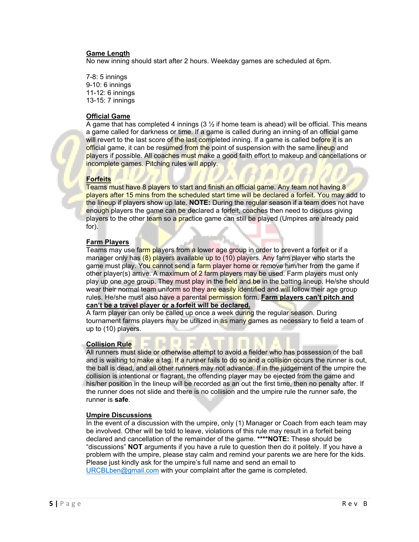#### **Game Length**

No new inning should start after 2 hours. Weekday games are scheduled at 6pm.

7-8: 5 innings 9-10: 6 innings 11-12: 6 innings 13-15: 7 innings

#### **Official Game**

A game that has completed 4 innings ( $3 \frac{1}{2}$  if home team is ahead) will be official. This means a game called for darkness or time. If a game is called during an inning of an official game will revert to the last score of the last completed inning. If a game is called before it is an official game, it can be resumed from the point of suspension with the same lineup and players if possible. All coaches must make a good faith effort to makeup and cancellations or incomplete games. Pitching rules will apply.

#### **Forfeits**

Teams must have 8 players to start and finish an official game. Any team not having 8 players after 15 mins from the scheduled start time will be declared a forfeit. You may add to the lineup if players show up late. **NOTE:** During the regular season if a team does not have enough players the game can be declared a forfeit, coaches then need to discuss giving players to the other team so a practice game can still be played (Umpires are already paid for).

#### **Farm Players**

Teams may use farm players from a lower age group in order to prevent a forfeit or if a manager only has (8) players available up to (10) players. Any farm player who starts the game must play. You cannot send a farm player home or remove him/her from the game if other player(s) arrive. A maximum of  $2$  farm players may be used. Farm players must only play up one age group. They must play in the field and be in the batting lineup. He/she should wear their normal team uniform so they are easily identified and will follow their age group rules. He/she must also have a parental permission form. **Farm players can't pitch and can't be a travel player or a forfeit will be declared.**

A farm player can only be called up once a week during the regular season. During tournament farms players may be utilized in as many games as necessary to field a team of up to (10) players.

#### **Collision Rule**

All runners must slide or otherwise attempt to avoid a fielder who has possession of the ball and is waiting to make a tag. If a runner fails to do so and a collision occurs the runner is out, the ball is dead, and all other runners may not advance. If in the judgement of the umpire the collision is intentional or flagrant, the offending player may be ejected from the game and his/her position in the lineup will be recorded as an out the first time, then no penalty after. If the runner does not slide and there is no collision and the umpire rule the runner safe, the runner is **safe**.

#### **Umpire Discussions**

In the event of a discussion with the umpire, only (1) Manager or Coach from each team may be involved. Other will be told to leave, violations of this rule may result in a forfeit being declared and cancellation of the remainder of the game. **\*\*\*\*NOTE:** These should be "discussions" **NOT** arguments if you have a rule to question then do it politely. If you have a problem with the umpire, please stay calm and remind your parents we are here for the kids. Please just kindly ask for the umpire's full name and send an email to [URCBLben@gmail.com](mailto:URCBLben@gmail.com) with your complaint after the game is completed.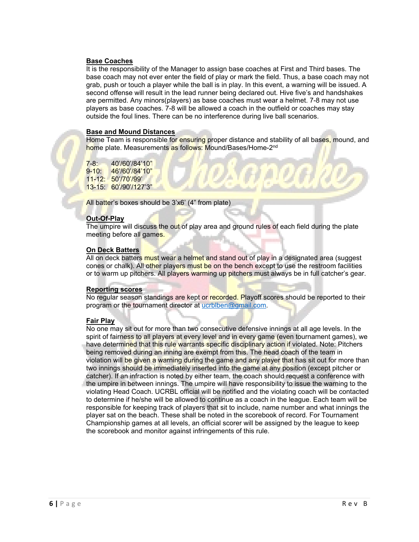#### **Base Coaches**

It is the responsibility of the Manager to assign base coaches at First and Third bases. The base coach may not ever enter the field of play or mark the field. Thus, a base coach may not grab, push or touch a player while the ball is in play. In this event, a warning will be issued. A second offense will result in the lead runner being declared out. Hive five's and handshakes are permitted. Any minors(players) as base coaches must wear a helmet. 7-8 may not use players as base coaches. 7-8 will be allowed a coach in the outfield or coaches may stay outside the foul lines. There can be no interference during live ball scenarios.

#### **Base and Mound Distances**

Home Team is responsible for ensuring proper distance and stability of all bases, mound, and home plate. Measurements as follows: Mound/Bases/Home-2<sup>nd</sup>

7-8: 40'/60'/84'10" 9-10: 46'/60'/84'10" 11-12: 50'/70'/99' 13-15: 60'/90'/127'3"

All batter's boxes should be 3'x6' (4" from plate)

#### **Out-Of-Play**

The umpire will discuss the out of play area and ground rules of each field during the plate meeting before all games.

#### **On Deck Batters**

All on deck batters must wear a helmet and stand out of play in a designated area (suggest cones or chalk). All other players must be on the bench except to use the restroom facilities or to warm up pitchers. All players warming up pitchers must always be in full catcher's gear.

#### **Reporting scores**

No regular season standings are kept or recorded. Playoff scores should be reported to their program or the tournament director at ucrbiben@gmail.com.

#### **Fair Play**

No one may sit out for more than two consecutive defensive innings at all age levels. In the spirit of fairness to all players at every level and in every game (even tournament games), we have determined that this rule warrants specific disciplinary action if violated. Note: Pitchers being removed during an inning are exempt from this. The head coach of the team in violation will be given a warning during the game and any player that has sit out for more than two innings should be immediately inserted into the game at any position (except pitcher or catcher). If an infraction is noted by either team, the coach should request a conference with the umpire in between innings. The umpire will have responsibility to issue the warning to the violating Head Coach. UCRBL official will be notified and the violating coach will be contacted to determine if he/she will be allowed to continue as a coach in the league. Each team will be responsible for keeping track of players that sit to include, name number and what innings the player sat on the beach. These shall be noted in the scorebook of record. For Tournament Championship games at all levels, an official scorer will be assigned by the league to keep the scorebook and monitor against infringements of this rule.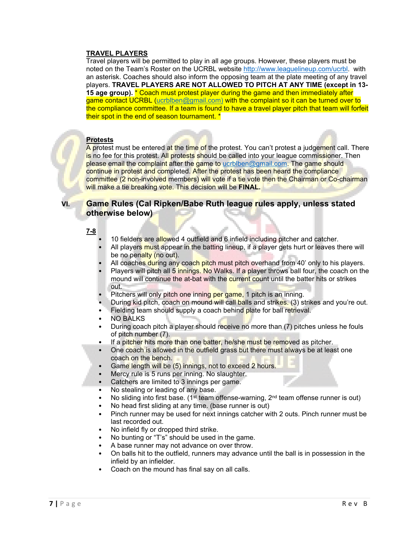#### **TRAVEL PLAYERS**

Travel players will be permitted to play in all age groups. However, these players must be noted on the Team's Roster on the UCRBL website<http://www.leaguelineup.com/ucrbl>. with an asterisk. Coaches should also inform the opposing team at the plate meeting of any travel players. **TRAVEL PLAYERS ARE NOT ALLOWED TO PITCH AT ANY TIME (except in 13- 15 age group).** \* Coach must protest player during the game and then immediately after game contact UCRBL (ucrblben@gmail.com) with the complaint so it can be turned over to the compliance committee. If a team is found to have a travel player pitch that team will forfeit their spot in the end of season tournament. \*

### **Protests**

A protest must be entered at the time of the protest. You can't protest a judgement call. There is no fee for this protest. All protests should be called into your league commissioner. Then please email the complaint after the game to [ucrblben@gmail.com.](mailto:ucrblben@gmail.com) The game should continue in protest and completed. After the protest has been heard the compliance committee (2 non-involved members) will vote if a tie vote then the Chairman or Co-chairman will make a tie breaking vote. This decision will be **FINAL.**

# **VI. Game Rules (Cal Ripken/Babe Ruth league rules apply, unless stated otherwise below)**

#### **7-8**

- 10 fielders are allowed 4 outfield and 6 infield including pitcher and catcher.
- All players must appear in the batting lineup, if a player gets hurt or leaves there will be no penalty (no out).
- All coaches during any coach pitch must pitch overhand from 40' only to his players.
- Players will pitch all 5 innings. No Walks. If a player throws ball four, the coach on the mound will continue the at-bat with the current count until the batter hits or strikes out.
- Pitchers will only pitch one inning per game, 1 pitch is an inning.
- During kid pitch, coach on mound will call balls and strikes. (3) strikes and you're out.
- Fielding team should supply a coach behind plate for ball retrieval.
- NO BALKS
- During coach pitch a player should receive no more than (7) pitches unless he fouls of pitch number (7).
- If a pitcher hits more than one batter, he/she must be removed as pitcher.
- One coach is allowed in the outfield grass but there must always be at least one coach on the bench.
- Game length will be (5) innings, not to exceed 2 hours.
- Mercy rule is 5 runs per inning. No slaughter.
- Catchers are limited to 3 innings per game.
- No stealing or leading of any base.
- No sliding into first base. (1<sup>st</sup> team offense-warning,  $2<sup>nd</sup>$  team offense runner is out)
- No head first sliding at any time. (base runner is out)
- Pinch runner may be used for next innings catcher with 2 outs. Pinch runner must be last recorded out.
- No infield fly or dropped third strike.
- No bunting or "T's" should be used in the game.
- A base runner may not advance on over throw.
- On balls hit to the outfield, runners may advance until the ball is in possession in the infield by an infielder.
- Coach on the mound has final say on all calls.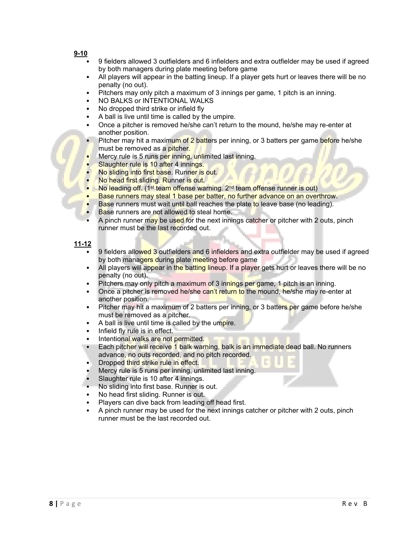- **9-10**
	- 9 fielders allowed 3 outfielders and 6 infielders and extra outfielder may be used if agreed by both managers during plate meeting before game
	- All players will appear in the batting lineup. If a player gets hurt or leaves there will be no penalty (no out).
	- Pitchers may only pitch a maximum of 3 innings per game, 1 pitch is an inning.
	- NO BALKS or INTENTIONAL WALKS
	- No dropped third strike or infield fly
	- A ball is live until time is called by the umpire.
	- Once a pitcher is removed he/she can't return to the mound, he/she may re-enter at another position.
	- Pitcher may hit a maximum of 2 batters per inning, or 3 batters per game before he/she must be removed as a pitcher.
	- Mercy rule is 5 runs per inning, unlimited last inning.
	- Slaughter rule is 10 after 4 innings.
	- No sliding into first base. Runner is out.
	- No head first sliding. Runner is out.
	- No leading off. (1<sup>st</sup> team offense warning. 2<sup>nd</sup> team offense runner is out)
	- Base runners may steal 1 base per batter, no further advance on an overthrow.
	- Base runners must wait until ball reaches the plate to leave base (no leading).
	- Base runners are not allowed to steal home.
	- A pinch runner may be used for the next innings catcher or pitcher with 2 outs, pinch runner must be the last recorded out.

#### **11-12**

- 9 fielders allowed 3 outfielders and 6 infielders and extra outfielder may be used if agreed by both managers during plate meeting before game
- All players will appear in the batting lineup. If a player gets hurt or leaves there will be no penalty (no out).
- Pitchers may only pitch a maximum of 3 innings per game, 1 pitch is an inning.
- Once a pitcher is removed he/she can't return to the mound, he/she may re-enter at another position.
- Pitcher may hit a maximum of 2 batters per inning, or 3 batters per game before he/she must be removed as a pitcher.
- A ball is live until time is called by the umpire.
- Infield fly rule is in effect.
- Intentional walks are not permitted.
- Each pitcher will receive 1 balk warning, balk is an immediate dead ball. No runners advance, no outs recorded, and no pitch recorded.
- Dropped third strike rule in effect.
- Mercy rule is 5 runs per inning, unlimited last inning.
- Slaughter rule is 10 after 4 innings.
- No sliding into first base. Runner is out.
- No head first sliding. Runner is out.
- Players can dive back from leading off head first.
- A pinch runner may be used for the next innings catcher or pitcher with 2 outs, pinch runner must be the last recorded out.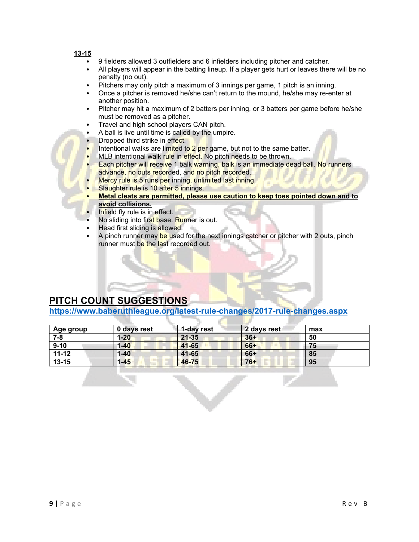#### **13-15**

- 9 fielders allowed 3 outfielders and 6 infielders including pitcher and catcher.
- All players will appear in the batting lineup. If a player gets hurt or leaves there will be no penalty (no out).
- Pitchers may only pitch a maximum of 3 innings per game, 1 pitch is an inning.
- Once a pitcher is removed he/she can't return to the mound, he/she may re-enter at another position.
- Pitcher may hit a maximum of 2 batters per inning, or 3 batters per game before he/she must be removed as a pitcher.
- Travel and high school players CAN pitch.
- A ball is live until time is called by the umpire.
- Dropped third strike in effect.
- Intentional walks are limited to 2 per game, but not to the same batter.
- MLB intentional walk rule in effect. No pitch needs to be thrown.
- Each pitcher will receive 1 balk warning, balk is an immediate dead ball. No runners advance, no outs recorded, and no pitch recorded.
- Mercy rule is 5 runs per inning, unlimited last inning.
- Slaughter rule is 10 after 5 innings.
- **Metal cleats are permitted, please use caution to keep toes pointed down and to avoid collisions.**
- Infield fly rule is in effect.
- No sliding into first base. Runner is out.
- Head first sliding is allowed.
- A pinch runner may be used for the next innings catcher or pitcher with 2 outs, pinch runner must be the last recorded out.

# **PITCH COUNT SUGGESTIONS**

**<https://www.baberuthleague.org/latest-rule-changes/2017-rule-changes.aspx>**

| Age group | 0 days rest | 1-day rest | 2 days rest | max |
|-----------|-------------|------------|-------------|-----|
| $7 - 8$   | $1 - 20$    | $21 - 35$  | $36+$       | 50  |
| $9 - 10$  | $1 - 40$    | $41 - 65$  | $66+$       | 75  |
| $11 - 12$ | $1 - 40$    | $41 - 65$  | 66+         | 85  |
| $13 - 15$ | $1 - 45$    | 46-75      | $76+$       | 95  |